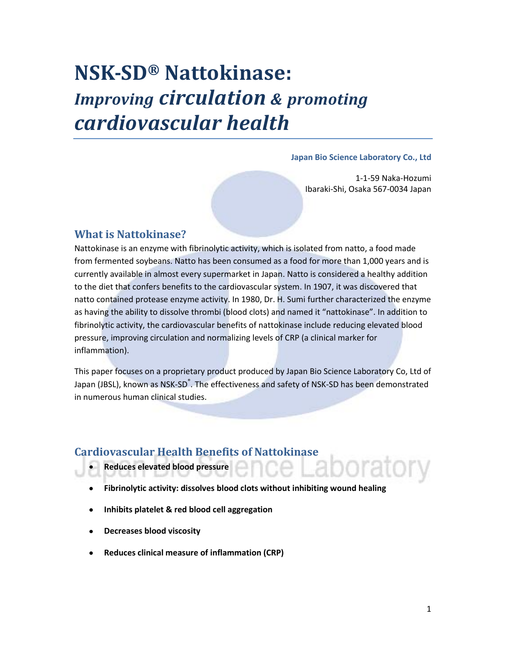## **NSK-SD® Nattokinase:**  *Improving circulation & promoting cardiovascular health*

### **Japan Bio Science Laboratory Co., Ltd**

1-1-59 Naka-Hozumi Ibaraki-Shi, Osaka 567-0034 Japan

## **What is Nattokinase?**

Nattokinase is an enzyme with fibrinolytic activity, which is isolated from natto, a food made from fermented soybeans. Natto has been consumed as a food for more than 1,000 years and is currently available in almost every supermarket in Japan. Natto is considered a healthy addition to the diet that confers benefits to the cardiovascular system. In 1907, it was discovered that natto contained protease enzyme activity. In 1980, Dr. H. Sumi further characterized the enzyme as having the ability to dissolve thrombi (blood clots) and named it "nattokinase". In addition to fibrinolytic activity, the cardiovascular benefits of nattokinase include reducing elevated blood pressure, improving circulation and normalizing levels of CRP (a clinical marker for inflammation).

This paper focuses on a proprietary product produced by Japan Bio Science Laboratory Co, Ltd of Japan (JBSL), known as NSK-SD<sup>®</sup>. The effectiveness and safety of NSK-SD has been demonstrated in numerous human clinical studies.

## **Cardiovascular Health Benefits of Nattokinase**

- **Reduces elevated blood pressure**
- **Fibrinolytic activity: dissolves blood clots without inhibiting wound healing**
- **Inhibits platelet & red blood cell aggregation**   $\bullet$
- **Decreases blood viscosity**  $\bullet$
- **Reduces clinical measure of inflammation (CRP)** $\bullet$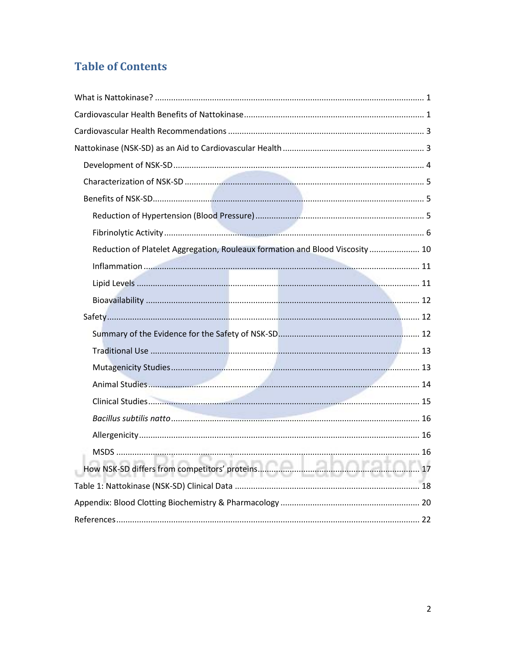## **Table of Contents**

| Reduction of Platelet Aggregation, Rouleaux formation and Blood Viscosity  10 |  |
|-------------------------------------------------------------------------------|--|
|                                                                               |  |
|                                                                               |  |
|                                                                               |  |
|                                                                               |  |
|                                                                               |  |
|                                                                               |  |
|                                                                               |  |
|                                                                               |  |
|                                                                               |  |
|                                                                               |  |
|                                                                               |  |
|                                                                               |  |
|                                                                               |  |
|                                                                               |  |
|                                                                               |  |
|                                                                               |  |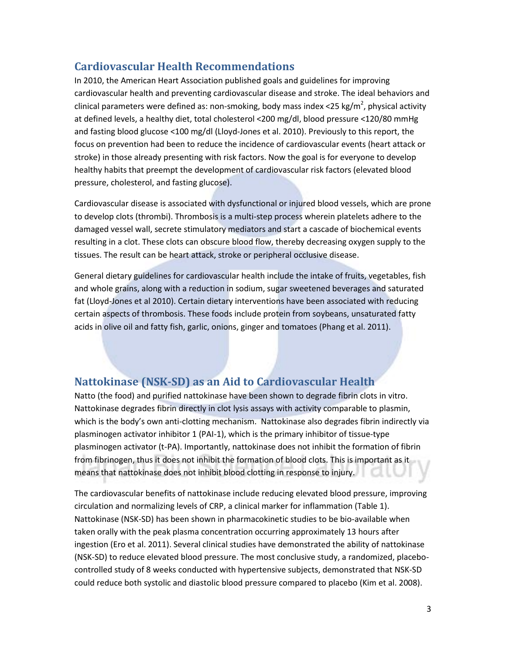## **Cardiovascular Health Recommendations**

In 2010, the American Heart Association published goals and guidelines for improving cardiovascular health and preventing cardiovascular disease and stroke. The ideal behaviors and clinical parameters were defined as: non-smoking, body mass index <25 kg/m<sup>2</sup>, physical activity at defined levels, a healthy diet, total cholesterol <200 mg/dl, blood pressure <120/80 mmHg and fasting blood glucose <100 mg/dl (Lloyd-Jones et al. 2010). Previously to this report, the focus on prevention had been to reduce the incidence of cardiovascular events (heart attack or stroke) in those already presenting with risk factors. Now the goal is for everyone to develop healthy habits that preempt the development of cardiovascular risk factors (elevated blood pressure, cholesterol, and fasting glucose).

Cardiovascular disease is associated with dysfunctional or injured blood vessels, which are prone to develop clots (thrombi). Thrombosis is a multi-step process wherein platelets adhere to the damaged vessel wall, secrete stimulatory mediators and start a cascade of biochemical events resulting in a clot. These clots can obscure blood flow, thereby decreasing oxygen supply to the tissues. The result can be heart attack, stroke or peripheral occlusive disease.

General dietary guidelines for cardiovascular health include the intake of fruits, vegetables, fish and whole grains, along with a reduction in sodium, sugar sweetened beverages and saturated fat (Lloyd-Jones et al 2010). Certain dietary interventions have been associated with reducing certain aspects of thrombosis. These foods include protein from soybeans, unsaturated fatty acids in olive oil and fatty fish, garlic, onions, ginger and tomatoes (Phang et al. 2011).

## **Nattokinase (NSK-SD) as an Aid to Cardiovascular Health**

Natto (the food) and purified nattokinase have been shown to degrade fibrin clots in vitro. Nattokinase degrades fibrin directly in clot lysis assays with activity comparable to plasmin, which is the body's own anti-clotting mechanism. Nattokinase also degrades fibrin indirectly via plasminogen activator inhibitor 1 (PAI-1), which is the primary inhibitor of tissue-type plasminogen activator (t-PA). Importantly, nattokinase does not inhibit the formation of fibrin from fibrinogen, thus it does not inhibit the formation of blood clots. This is important as it means that nattokinase does not inhibit blood clotting in response to injury.

The cardiovascular benefits of nattokinase include reducing elevated blood pressure, improving circulation and normalizing levels of CRP, a clinical marker for inflammation (Table 1). Nattokinase (NSK-SD) has been shown in pharmacokinetic studies to be bio-available when taken orally with the peak plasma concentration occurring approximately 13 hours after ingestion (Ero et al. 2011). Several clinical studies have demonstrated the ability of nattokinase (NSK-SD) to reduce elevated blood pressure. The most conclusive study, a randomized, placebocontrolled study of 8 weeks conducted with hypertensive subjects, demonstrated that NSK-SD could reduce both systolic and diastolic blood pressure compared to placebo (Kim et al. 2008).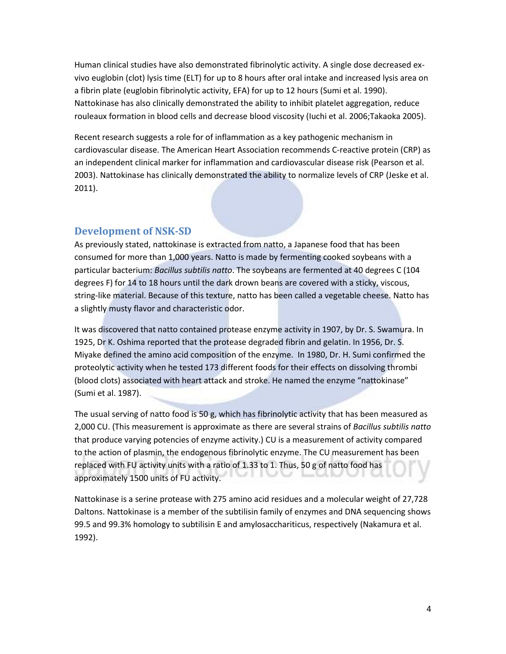Human clinical studies have also demonstrated fibrinolytic activity. A single dose decreased exvivo euglobin (clot) lysis time (ELT) for up to 8 hours after oral intake and increased lysis area on a fibrin plate (euglobin fibrinolytic activity, EFA) for up to 12 hours (Sumi et al. 1990). Nattokinase has also clinically demonstrated the ability to inhibit platelet aggregation, reduce rouleaux formation in blood cells and decrease blood viscosity (Iuchi et al. 2006;Takaoka 2005).

Recent research suggests a role for of inflammation as a key pathogenic mechanism in cardiovascular disease. The American Heart Association recommends C-reactive protein (CRP) as an independent clinical marker for inflammation and cardiovascular disease risk (Pearson et al. 2003). Nattokinase has clinically demonstrated the ability to normalize levels of CRP (Jeske et al. 2011).

## **Development of NSK-SD**

As previously stated, nattokinase is extracted from natto, a Japanese food that has been consumed for more than 1,000 years. Natto is made by fermenting cooked soybeans with a particular bacterium: *Bacillus subtilis natto*. The soybeans are fermented at 40 degrees C (104 degrees F) for 14 to 18 hours until the dark drown beans are covered with a sticky, viscous, string-like material. Because of this texture, natto has been called a vegetable cheese. Natto has a slightly musty flavor and characteristic odor.

It was discovered that natto contained protease enzyme activity in 1907, by Dr. S. Swamura. In 1925, Dr K. Oshima reported that the protease degraded fibrin and gelatin. In 1956, Dr. S. Miyake defined the amino acid composition of the enzyme. In 1980, Dr. H. Sumi confirmed the proteolytic activity when he tested 173 different foods for their effects on dissolving thrombi (blood clots) associated with heart attack and stroke. He named the enzyme "nattokinase" (Sumi et al. 1987).

The usual serving of natto food is 50 g, which has fibrinolytic activity that has been measured as 2,000 CU. (This measurement is approximate as there are several strains of *Bacillus subtilis natto*  that produce varying potencies of enzyme activity.) CU is a measurement of activity compared to the action of plasmin, the endogenous fibrinolytic enzyme. The CU measurement has been replaced with FU activity units with a ratio of 1.33 to 1. Thus, 50 g of natto food has approximately 1500 units of FU activity.

Nattokinase is a serine protease with 275 amino acid residues and a molecular weight of 27,728 Daltons. Nattokinase is a member of the subtilisin family of enzymes and DNA sequencing shows 99.5 and 99.3% homology to subtilisin E and amylosacchariticus, respectively (Nakamura et al. 1992).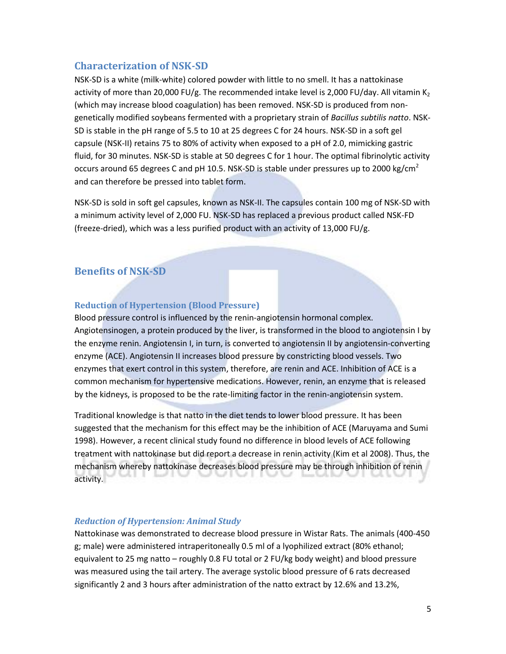## **Characterization of NSK-SD**

NSK-SD is a white (milk-white) colored powder with little to no smell. It has a nattokinase activity of more than 20,000 FU/g. The recommended intake level is 2,000 FU/day. All vitamin  $K_2$ (which may increase blood coagulation) has been removed. NSK-SD is produced from nongenetically modified soybeans fermented with a proprietary strain of *Bacillus subtilis natto*. NSK-SD is stable in the pH range of 5.5 to 10 at 25 degrees C for 24 hours. NSK-SD in a soft gel capsule (NSK-II) retains 75 to 80% of activity when exposed to a pH of 2.0, mimicking gastric fluid, for 30 minutes. NSK-SD is stable at 50 degrees C for 1 hour. The optimal fibrinolytic activity occurs around 65 degrees C and pH 10.5. NSK-SD is stable under pressures up to 2000 kg/cm<sup>2</sup> and can therefore be pressed into tablet form.

NSK-SD is sold in soft gel capsules, known as NSK-II. The capsules contain 100 mg of NSK-SD with a minimum activity level of 2,000 FU. NSK-SD has replaced a previous product called NSK-FD (freeze-dried), which was a less purified product with an activity of 13,000 FU/g.

## **Benefits of NSK-SD**

## **Reduction of Hypertension (Blood Pressure)**

Blood pressure control is influenced by the renin-angiotensin hormonal complex. Angiotensinogen, a protein produced by the liver, is transformed in the blood to angiotensin I by the enzyme renin. Angiotensin I, in turn, is converted to angiotensin II by angiotensin-converting enzyme (ACE). Angiotensin II increases blood pressure by constricting blood vessels. Two enzymes that exert control in this system, therefore, are renin and ACE. Inhibition of ACE is a common mechanism for hypertensive medications. However, renin, an enzyme that is released by the kidneys, is proposed to be the rate-limiting factor in the renin-angiotensin system.

Traditional knowledge is that natto in the diet tends to lower blood pressure. It has been suggested that the mechanism for this effect may be the inhibition of ACE (Maruyama and Sumi 1998). However, a recent clinical study found no difference in blood levels of ACE following treatment with nattokinase but did report a decrease in renin activity (Kim et al 2008). Thus, the mechanism whereby nattokinase decreases blood pressure may be through inhibition of renin activity.

## *Reduction of Hypertension: Animal Study*

Nattokinase was demonstrated to decrease blood pressure in Wistar Rats. The animals (400-450 g; male) were administered intraperitoneally 0.5 ml of a lyophilized extract (80% ethanol; equivalent to 25 mg natto – roughly 0.8 FU total or 2 FU/kg body weight) and blood pressure was measured using the tail artery. The average systolic blood pressure of 6 rats decreased significantly 2 and 3 hours after administration of the natto extract by 12.6% and 13.2%,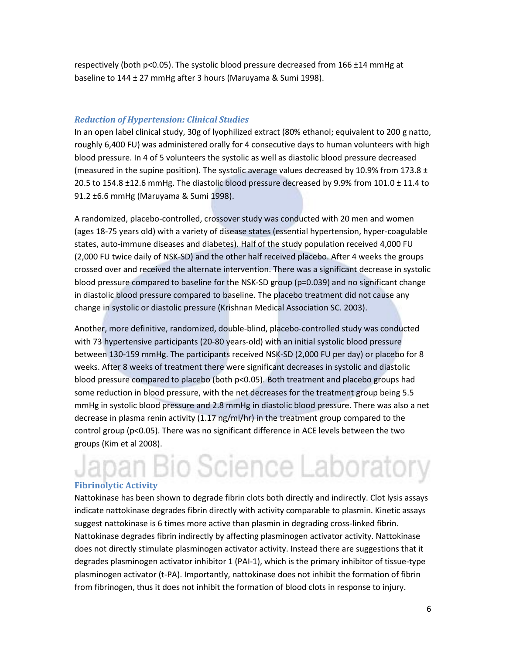respectively (both  $p<0.05$ ). The systolic blood pressure decreased from 166  $\pm$ 14 mmHg at baseline to 144 ± 27 mmHg after 3 hours (Maruyama & Sumi 1998).

## *Reduction of Hypertension: Clinical Studies*

In an open label clinical study, 30g of lyophilized extract (80% ethanol; equivalent to 200 g natto, roughly 6,400 FU) was administered orally for 4 consecutive days to human volunteers with high blood pressure. In 4 of 5 volunteers the systolic as well as diastolic blood pressure decreased (measured in the supine position). The systolic average values decreased by 10.9% from 173.8  $\pm$ 20.5 to 154.8  $\pm$ 12.6 mmHg. The diastolic blood pressure decreased by 9.9% from 101.0  $\pm$  11.4 to 91.2 ±6.6 mmHg (Maruyama & Sumi 1998).

A randomized, placebo-controlled, crossover study was conducted with 20 men and women (ages 18-75 years old) with a variety of disease states (essential hypertension, hyper-coagulable states, auto-immune diseases and diabetes). Half of the study population received 4,000 FU (2,000 FU twice daily of NSK-SD) and the other half received placebo. After 4 weeks the groups crossed over and received the alternate intervention. There was a significant decrease in systolic blood pressure compared to baseline for the NSK-SD group (p=0.039) and no significant change in diastolic blood pressure compared to baseline. The placebo treatment did not cause any change in systolic or diastolic pressure (Krishnan Medical Association SC. 2003).

Another, more definitive, randomized, double-blind, placebo-controlled study was conducted with 73 hypertensive participants (20-80 years-old) with an initial systolic blood pressure between 130-159 mmHg. The participants received NSK-SD (2,000 FU per day) or placebo for 8 weeks. After 8 weeks of treatment there were significant decreases in systolic and diastolic blood pressure compared to placebo (both p<0.05). Both treatment and placebo groups had some reduction in blood pressure, with the net decreases for the treatment group being 5.5 mmHg in systolic blood pressure and 2.8 mmHg in diastolic blood pressure. There was also a net decrease in plasma renin activity (1.17 ng/ml/hr) in the treatment group compared to the control group (p<0.05). There was no significant difference in ACE levels between the two groups (Kim et al 2008).

## an Bio Science Laboratory **Fibrinolytic Activity**

Nattokinase has been shown to degrade fibrin clots both directly and indirectly. Clot lysis assays indicate nattokinase degrades fibrin directly with activity comparable to plasmin. Kinetic assays suggest nattokinase is 6 times more active than plasmin in degrading cross-linked fibrin. Nattokinase degrades fibrin indirectly by affecting plasminogen activator activity. Nattokinase does not directly stimulate plasminogen activator activity. Instead there are suggestions that it degrades plasminogen activator inhibitor 1 (PAI-1), which is the primary inhibitor of tissue-type plasminogen activator (t-PA). Importantly, nattokinase does not inhibit the formation of fibrin from fibrinogen, thus it does not inhibit the formation of blood clots in response to injury.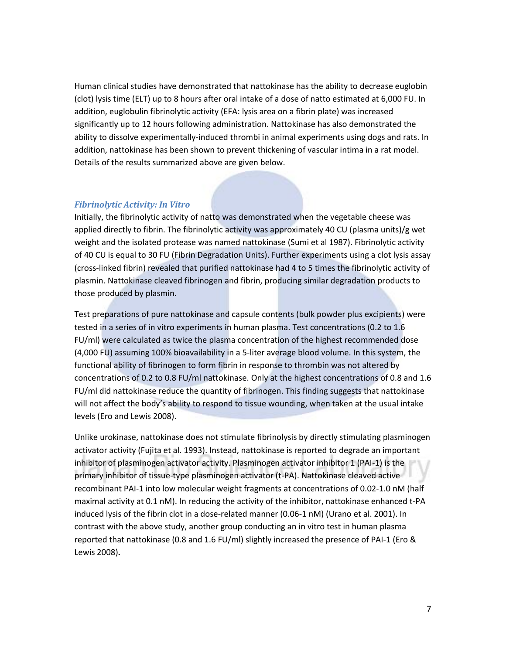Human clinical studies have demonstrated that nattokinase has the ability to decrease euglobin (clot) lysis time (ELT) up to 8 hours after oral intake of a dose of natto estimated at 6,000 FU. In addition, euglobulin fibrinolytic activity (EFA: lysis area on a fibrin plate) was increased significantly up to 12 hours following administration. Nattokinase has also demonstrated the ability to dissolve experimentally-induced thrombi in animal experiments using dogs and rats. In addition, nattokinase has been shown to prevent thickening of vascular intima in a rat model. Details of the results summarized above are given below.

## *Fibrinolytic Activity: In Vitro*

Initially, the fibrinolytic activity of natto was demonstrated when the vegetable cheese was applied directly to fibrin. The fibrinolytic activity was approximately 40 CU (plasma units)/g wet weight and the isolated protease was named nattokinase (Sumi et al 1987). Fibrinolytic activity of 40 CU is equal to 30 FU (Fibrin Degradation Units). Further experiments using a clot lysis assay (cross-linked fibrin) revealed that purified nattokinase had 4 to 5 times the fibrinolytic activity of plasmin. Nattokinase cleaved fibrinogen and fibrin, producing similar degradation products to those produced by plasmin.

Test preparations of pure nattokinase and capsule contents (bulk powder plus excipients) were tested in a series of in vitro experiments in human plasma. Test concentrations (0.2 to 1.6 FU/ml) were calculated as twice the plasma concentration of the highest recommended dose (4,000 FU) assuming 100% bioavailability in a 5-liter average blood volume. In this system, the functional ability of fibrinogen to form fibrin in response to thrombin was not altered by concentrations of 0.2 to 0.8 FU/ml nattokinase. Only at the highest concentrations of 0.8 and 1.6 FU/ml did nattokinase reduce the quantity of fibrinogen. This finding suggests that nattokinase will not affect the body's ability to respond to tissue wounding, when taken at the usual intake levels (Ero and Lewis 2008).

Unlike urokinase, nattokinase does not stimulate fibrinolysis by directly stimulating plasminogen activator activity (Fujita et al. 1993). Instead, nattokinase is reported to degrade an important inhibitor of plasminogen activator activity. Plasminogen activator inhibitor 1 (PAI-1) is the primary inhibitor of tissue-type plasminogen activator (t-PA). Nattokinase cleaved active recombinant PAI-1 into low molecular weight fragments at concentrations of 0.02-1.0 nM (half maximal activity at 0.1 nM). In reducing the activity of the inhibitor, nattokinase enhanced t-PA induced lysis of the fibrin clot in a dose-related manner (0.06-1 nM) (Urano et al. 2001). In contrast with the above study, another group conducting an in vitro test in human plasma reported that nattokinase (0.8 and 1.6 FU/ml) slightly increased the presence of PAI-1 (Ero & Lewis 2008)**.**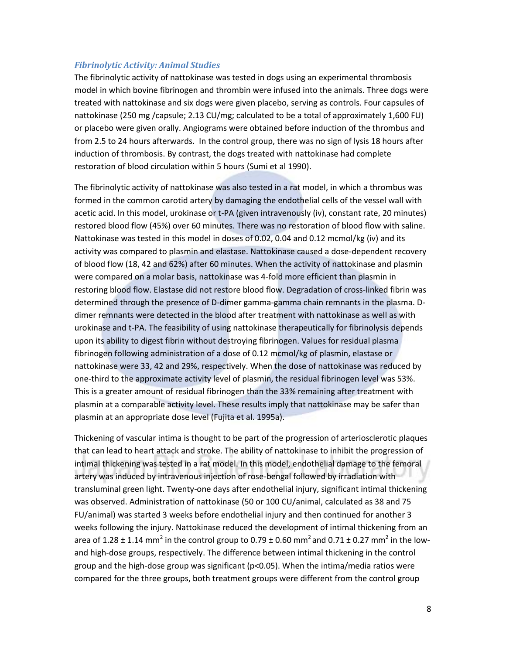## *Fibrinolytic Activity: Animal Studies*

The fibrinolytic activity of nattokinase was tested in dogs using an experimental thrombosis model in which bovine fibrinogen and thrombin were infused into the animals. Three dogs were treated with nattokinase and six dogs were given placebo, serving as controls. Four capsules of nattokinase (250 mg /capsule; 2.13 CU/mg; calculated to be a total of approximately 1,600 FU) or placebo were given orally. Angiograms were obtained before induction of the thrombus and from 2.5 to 24 hours afterwards. In the control group, there was no sign of lysis 18 hours after induction of thrombosis. By contrast, the dogs treated with nattokinase had complete restoration of blood circulation within 5 hours (Sumi et al 1990).

The fibrinolytic activity of nattokinase was also tested in a rat model, in which a thrombus was formed in the common carotid artery by damaging the endothelial cells of the vessel wall with acetic acid. In this model, urokinase or t-PA (given intravenously (iv), constant rate, 20 minutes) restored blood flow (45%) over 60 minutes. There was no restoration of blood flow with saline. Nattokinase was tested in this model in doses of 0.02, 0.04 and 0.12 mcmol/kg (iv) and its activity was compared to plasmin and elastase. Nattokinase caused a dose-dependent recovery of blood flow (18, 42 and 62%) after 60 minutes. When the activity of nattokinase and plasmin were compared on a molar basis, nattokinase was 4-fold more efficient than plasmin in restoring blood flow. Elastase did not restore blood flow. Degradation of cross-linked fibrin was determined through the presence of D-dimer gamma-gamma chain remnants in the plasma. Ddimer remnants were detected in the blood after treatment with nattokinase as well as with urokinase and t-PA. The feasibility of using nattokinase therapeutically for fibrinolysis depends upon its ability to digest fibrin without destroying fibrinogen. Values for residual plasma fibrinogen following administration of a dose of 0.12 mcmol/kg of plasmin, elastase or nattokinase were 33, 42 and 29%, respectively. When the dose of nattokinase was reduced by one-third to the approximate activity level of plasmin, the residual fibrinogen level was 53%. This is a greater amount of residual fibrinogen than the 33% remaining after treatment with plasmin at a comparable activity level. These results imply that nattokinase may be safer than plasmin at an appropriate dose level (Fujita et al. 1995a).

Thickening of vascular intima is thought to be part of the progression of arteriosclerotic plaques that can lead to heart attack and stroke. The ability of nattokinase to inhibit the progression of intimal thickening was tested in a rat model. In this model, endothelial damage to the femoral artery was induced by intravenous injection of rose-bengal followed by irradiation with transluminal green light. Twenty-one days after endothelial injury, significant intimal thickening was observed. Administration of nattokinase (50 or 100 CU/animal, calculated as 38 and 75 FU/animal) was started 3 weeks before endothelial injury and then continued for another 3 weeks following the injury. Nattokinase reduced the development of intimal thickening from an area of 1.28  $\pm$  1.14 mm<sup>2</sup> in the control group to 0.79  $\pm$  0.60 mm<sup>2</sup> and 0.71  $\pm$  0.27 mm<sup>2</sup> in the lowand high-dose groups, respectively. The difference between intimal thickening in the control group and the high-dose group was significant (p<0.05). When the intima/media ratios were compared for the three groups, both treatment groups were different from the control group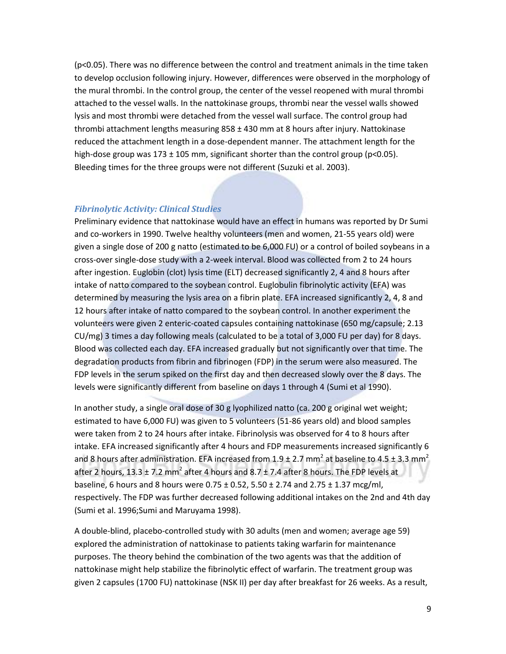(p<0.05). There was no difference between the control and treatment animals in the time taken to develop occlusion following injury. However, differences were observed in the morphology of the mural thrombi. In the control group, the center of the vessel reopened with mural thrombi attached to the vessel walls. In the nattokinase groups, thrombi near the vessel walls showed lysis and most thrombi were detached from the vessel wall surface. The control group had thrombi attachment lengths measuring  $858 \pm 430$  mm at 8 hours after injury. Nattokinase reduced the attachment length in a dose-dependent manner. The attachment length for the high-dose group was 173  $\pm$  105 mm, significant shorter than the control group (p<0.05). Bleeding times for the three groups were not different (Suzuki et al. 2003).

## *Fibrinolytic Activity: Clinical Studies*

Preliminary evidence that nattokinase would have an effect in humans was reported by Dr Sumi and co-workers in 1990. Twelve healthy volunteers (men and women, 21-55 years old) were given a single dose of 200 g natto (estimated to be 6,000 FU) or a control of boiled soybeans in a cross-over single-dose study with a 2-week interval. Blood was collected from 2 to 24 hours after ingestion. Euglobin (clot) lysis time (ELT) decreased significantly 2, 4 and 8 hours after intake of natto compared to the soybean control. Euglobulin fibrinolytic activity (EFA) was determined by measuring the lysis area on a fibrin plate. EFA increased significantly 2, 4, 8 and 12 hours after intake of natto compared to the soybean control. In another experiment the volunteers were given 2 enteric-coated capsules containing nattokinase (650 mg/capsule; 2.13 CU/mg) 3 times a day following meals (calculated to be a total of 3,000 FU per day) for 8 days. Blood was collected each day. EFA increased gradually but not significantly over that time. The degradation products from fibrin and fibrinogen (FDP) in the serum were also measured. The FDP levels in the serum spiked on the first day and then decreased slowly over the 8 days. The levels were significantly different from baseline on days 1 through 4 (Sumi et al 1990).

In another study, a single oral dose of 30 g lyophilized natto (ca. 200 g original wet weight; estimated to have 6,000 FU) was given to 5 volunteers (51-86 years old) and blood samples were taken from 2 to 24 hours after intake. Fibrinolysis was observed for 4 to 8 hours after intake. EFA increased significantly after 4 hours and FDP measurements increased significantly 6 and 8 hours after administration. EFA increased from 1.9  $\pm$  2.7 mm<sup>2</sup> at baseline to 4.5  $\pm$  3.3 mm<sup>2</sup> after 2 hours, 13.3  $\pm$  7.2 mm<sup>2</sup> after 4 hours and 8.7  $\pm$  7.4 after 8 hours. The FDP levels at baseline, 6 hours and 8 hours were  $0.75 \pm 0.52$ ,  $5.50 \pm 2.74$  and  $2.75 \pm 1.37$  mcg/ml, respectively. The FDP was further decreased following additional intakes on the 2nd and 4th day (Sumi et al. 1996;Sumi and Maruyama 1998).

A double-blind, placebo-controlled study with 30 adults (men and women; average age 59) explored the administration of nattokinase to patients taking warfarin for maintenance purposes. The theory behind the combination of the two agents was that the addition of nattokinase might help stabilize the fibrinolytic effect of warfarin. The treatment group was given 2 capsules (1700 FU) nattokinase (NSK II) per day after breakfast for 26 weeks. As a result,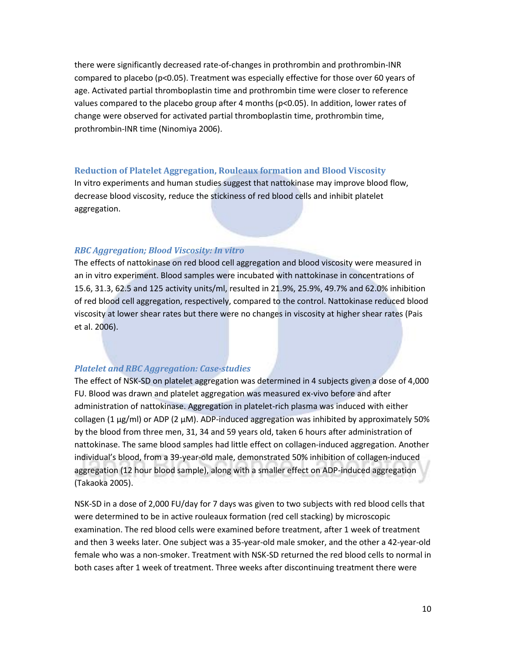there were significantly decreased rate-of-changes in prothrombin and prothrombin-INR compared to placebo (p<0.05). Treatment was especially effective for those over 60 years of age. Activated partial thromboplastin time and prothrombin time were closer to reference values compared to the placebo group after 4 months (p<0.05). In addition, lower rates of change were observed for activated partial thromboplastin time, prothrombin time, prothrombin-INR time (Ninomiya 2006).

## **Reduction of Platelet Aggregation, Rouleaux formation and Blood Viscosity**

In vitro experiments and human studies suggest that nattokinase may improve blood flow, decrease blood viscosity, reduce the stickiness of red blood cells and inhibit platelet aggregation.

## *RBC Aggregation; Blood Viscosity: In vitro*

The effects of nattokinase on red blood cell aggregation and blood viscosity were measured in an in vitro experiment. Blood samples were incubated with nattokinase in concentrations of 15.6, 31.3, 62.5 and 125 activity units/ml, resulted in 21.9%, 25.9%, 49.7% and 62.0% inhibition of red blood cell aggregation, respectively, compared to the control. Nattokinase reduced blood viscosity at lower shear rates but there were no changes in viscosity at higher shear rates (Pais et al. 2006).

## *Platelet and RBC Aggregation: Case-studies*

The effect of NSK-SD on platelet aggregation was determined in 4 subjects given a dose of 4,000 FU. Blood was drawn and platelet aggregation was measured ex-vivo before and after administration of nattokinase. Aggregation in platelet-rich plasma was induced with either collagen (1  $\mu$ g/ml) or ADP (2  $\mu$ M). ADP-induced aggregation was inhibited by approximately 50% by the blood from three men, 31, 34 and 59 years old, taken 6 hours after administration of nattokinase. The same blood samples had little effect on collagen-induced aggregation. Another individual's blood, from a 39-year-old male, demonstrated 50% inhibition of collagen-induced aggregation (12 hour blood sample), along with a smaller effect on ADP-induced aggregation (Takaoka 2005).

NSK-SD in a dose of 2,000 FU/day for 7 days was given to two subjects with red blood cells that were determined to be in active rouleaux formation (red cell stacking) by microscopic examination. The red blood cells were examined before treatment, after 1 week of treatment and then 3 weeks later. One subject was a 35-year-old male smoker, and the other a 42-year-old female who was a non-smoker. Treatment with NSK-SD returned the red blood cells to normal in both cases after 1 week of treatment. Three weeks after discontinuing treatment there were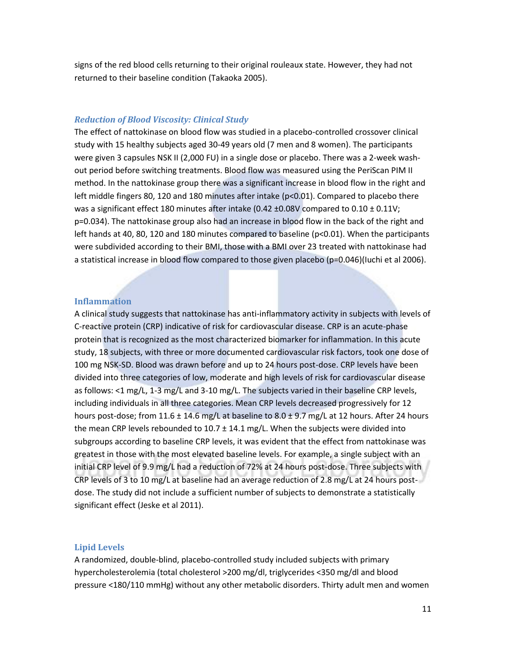signs of the red blood cells returning to their original rouleaux state. However, they had not returned to their baseline condition (Takaoka 2005).

#### *Reduction of Blood Viscosity: Clinical Study*

The effect of nattokinase on blood flow was studied in a placebo-controlled crossover clinical study with 15 healthy subjects aged 30-49 years old (7 men and 8 women). The participants were given 3 capsules NSK II (2,000 FU) in a single dose or placebo. There was a 2-week washout period before switching treatments. Blood flow was measured using the PeriScan PIM II method. In the nattokinase group there was a significant increase in blood flow in the right and left middle fingers 80, 120 and 180 minutes after intake (p<0.01). Compared to placebo there was a significant effect 180 minutes after intake (0.42  $\pm$ 0.08V compared to 0.10  $\pm$  0.11V; p=0.034). The nattokinase group also had an increase in blood flow in the back of the right and left hands at 40, 80, 120 and 180 minutes compared to baseline ( $p<0.01$ ). When the participants were subdivided according to their BMI, those with a BMI over 23 treated with nattokinase had a statistical increase in blood flow compared to those given placebo (p=0.046)(Iuchi et al 2006).

## **Inflammation**

A clinical study suggests that nattokinase has anti-inflammatory activity in subjects with levels of C-reactive protein (CRP) indicative of risk for cardiovascular disease. CRP is an acute-phase protein that is recognized as the most characterized biomarker for inflammation. In this acute study, 18 subjects, with three or more documented cardiovascular risk factors, took one dose of 100 mg NSK-SD. Blood was drawn before and up to 24 hours post-dose. CRP levels have been divided into three categories of low, moderate and high levels of risk for cardiovascular disease as follows: <1 mg/L, 1-3 mg/L and 3-10 mg/L. The subjects varied in their baseline CRP levels, including individuals in all three categories. Mean CRP levels decreased progressively for 12 hours post-dose; from 11.6  $\pm$  14.6 mg/L at baseline to 8.0  $\pm$  9.7 mg/L at 12 hours. After 24 hours the mean CRP levels rebounded to  $10.7 \pm 14.1$  mg/L. When the subjects were divided into subgroups according to baseline CRP levels, it was evident that the effect from nattokinase was greatest in those with the most elevated baseline levels. For example, a single subject with an initial CRP level of 9.9 mg/L had a reduction of 72% at 24 hours post-dose. Three subjects with CRP levels of 3 to 10 mg/L at baseline had an average reduction of 2.8 mg/L at 24 hours postdose. The study did not include a sufficient number of subjects to demonstrate a statistically significant effect (Jeske et al 2011).

#### **Lipid Levels**

A randomized, double-blind, placebo-controlled study included subjects with primary hypercholesterolemia (total cholesterol >200 mg/dl, triglycerides <350 mg/dl and blood pressure <180/110 mmHg) without any other metabolic disorders. Thirty adult men and women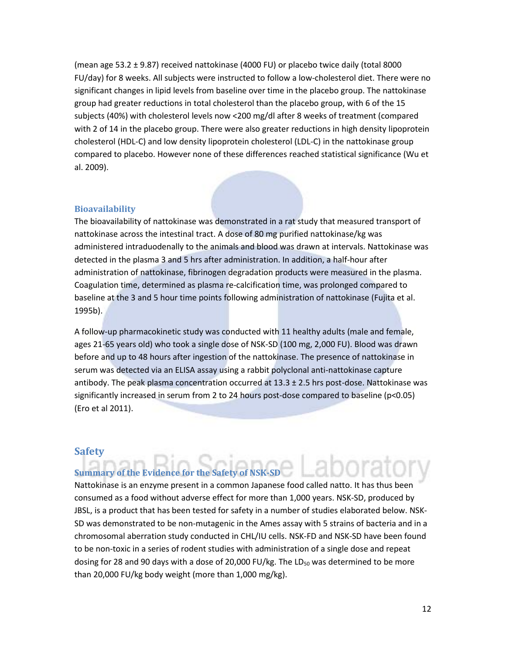(mean age 53.2 ± 9.87) received nattokinase (4000 FU) or placebo twice daily (total 8000 FU/day) for 8 weeks. All subjects were instructed to follow a low-cholesterol diet. There were no significant changes in lipid levels from baseline over time in the placebo group. The nattokinase group had greater reductions in total cholesterol than the placebo group, with 6 of the 15 subjects (40%) with cholesterol levels now <200 mg/dl after 8 weeks of treatment (compared with 2 of 14 in the placebo group. There were also greater reductions in high density lipoprotein cholesterol (HDL-C) and low density lipoprotein cholesterol (LDL-C) in the nattokinase group compared to placebo. However none of these differences reached statistical significance (Wu et al. 2009).

## **Bioavailability**

The bioavailability of nattokinase was demonstrated in a rat study that measured transport of nattokinase across the intestinal tract. A dose of 80 mg purified nattokinase/kg was administered intraduodenally to the animals and blood was drawn at intervals. Nattokinase was detected in the plasma 3 and 5 hrs after administration. In addition, a half-hour after administration of nattokinase, fibrinogen degradation products were measured in the plasma. Coagulation time, determined as plasma re-calcification time, was prolonged compared to baseline at the 3 and 5 hour time points following administration of nattokinase (Fujita et al. 1995b).

A follow-up pharmacokinetic study was conducted with 11 healthy adults (male and female, ages 21-65 years old) who took a single dose of NSK-SD (100 mg, 2,000 FU). Blood was drawn before and up to 48 hours after ingestion of the nattokinase. The presence of nattokinase in serum was detected via an ELISA assay using a rabbit polyclonal anti-nattokinase capture antibody. The peak plasma concentration occurred at  $13.3 \pm 2.5$  hrs post-dose. Nattokinase was significantly increased in serum from 2 to 24 hours post-dose compared to baseline (p<0.05) (Ero et al 2011).

## **Safety**

## **Summary of the Evidence for the Safety of NSK-SD**

Nattokinase is an enzyme present in a common Japanese food called natto. It has thus been consumed as a food without adverse effect for more than 1,000 years. NSK-SD, produced by JBSL, is a product that has been tested for safety in a number of studies elaborated below. NSK-SD was demonstrated to be non-mutagenic in the Ames assay with 5 strains of bacteria and in a chromosomal aberration study conducted in CHL/IU cells. NSK-FD and NSK-SD have been found to be non-toxic in a series of rodent studies with administration of a single dose and repeat dosing for 28 and 90 days with a dose of 20,000 FU/kg. The LD<sub>50</sub> was determined to be more than 20,000 FU/kg body weight (more than 1,000 mg/kg).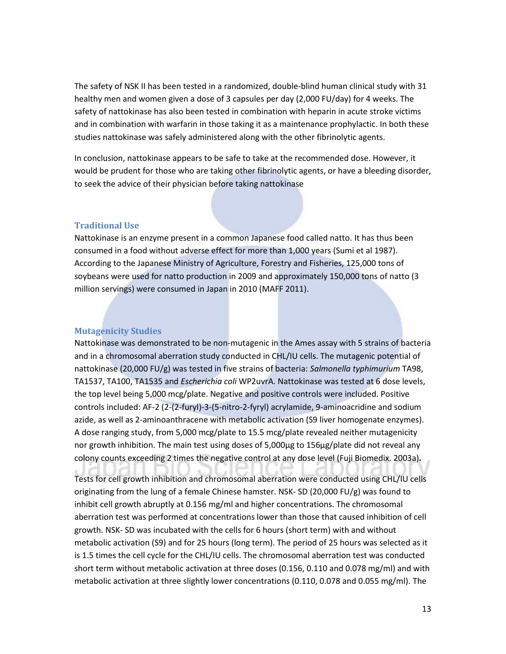The safety of NSK II has been tested in a randomized, double-blind human clinical study with 31 healthy men and women given a dose of 3 capsules per day (2,000 FU/day) for 4 weeks. The safety of nattokinase has also been tested in combination with heparin in acute stroke victims and in combination with warfarin in those taking it as a maintenance prophylactic. In both these studies nattokinase was safely administered along with the other fibrinolytic agents.

In conclusion, nattokinase appears to be safe to take at the recommended dose. However, it would be prudent for those who are taking other fibrinolytic agents, or have a bleeding disorder, to seek the advice of their physician before taking nattokinase

## **Traditional Use**

Nattokinase is an enzyme present in a common Japanese food called natto. It has thus been consumed in a food without adverse effect for more than 1,000 years (Sumi et al 1987). According to the Japanese Ministry of Agriculture, Forestry and Fisheries, 125,000 tons of soybeans were used for natto production in 2009 and approximately 150,000 tons of natto (3 million servings) were consumed in Japan in 2010 (MAFF 2011).

## **Mutagenicity Studies**

Nattokinase was demonstrated to be non-mutagenic in the Ames assay with 5 strains of bacteria and in a chromosomal aberration study conducted in CHL/IU cells. The mutagenic potential of nattokinase (20,000 FU/g) was tested in five strains of bacteria: *Salmonella typhimurium* TA98, TA1537, TA100, TA1535 and *Escherichia coli* WP2uvrA. Nattokinase was tested at 6 dose levels, the top level being 5,000 mcg/plate. Negative and positive controls were included. Positive controls included: AF-2 (2-(2-furyl)-3-(5-nitro-2-fyryl) acrylamide, 9-aminoacridine and sodium azide, as well as 2-aminoanthracene with metabolic activation (S9 liver homogenate enzymes). A dose ranging study, from 5,000 mcg/plate to 15.5 mcg/plate revealed neither mutagenicity nor growth inhibition. The main test using doses of 5,000µg to 156µg/plate did not reveal any colony counts exceeding 2 times the negative control at any dose level (Fuji Biomedix. 2003a)**.**

Tests for cell growth inhibition and chromosomal aberration were conducted using CHL/IU cells originating from the lung of a female Chinese hamster. NSK- SD (20,000 FU/g) was found to inhibit cell growth abruptly at 0.156 mg/ml and higher concentrations. The chromosomal aberration test was performed at concentrations lower than those that caused inhibition of cell growth. NSK- SD was incubated with the cells for 6 hours (short term) with and without metabolic activation (S9) and for 25 hours (long term). The period of 25 hours was selected as it is 1.5 times the cell cycle for the CHL/IU cells. The chromosomal aberration test was conducted short term without metabolic activation at three doses (0.156, 0.110 and 0.078 mg/ml) and with metabolic activation at three slightly lower concentrations (0.110, 0.078 and 0.055 mg/ml). The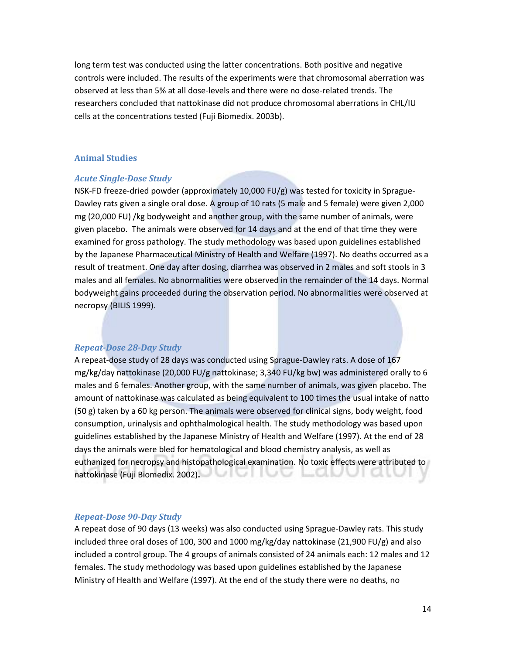long term test was conducted using the latter concentrations. Both positive and negative controls were included. The results of the experiments were that chromosomal aberration was observed at less than 5% at all dose-levels and there were no dose-related trends. The researchers concluded that nattokinase did not produce chromosomal aberrations in CHL/IU cells at the concentrations tested (Fuji Biomedix. 2003b).

## **Animal Studies**

#### *Acute Single-Dose Study*

NSK-FD freeze-dried powder (approximately 10,000 FU/g) was tested for toxicity in Sprague-Dawley rats given a single oral dose. A group of 10 rats (5 male and 5 female) were given 2,000 mg (20,000 FU) /kg bodyweight and another group, with the same number of animals, were given placebo. The animals were observed for 14 days and at the end of that time they were examined for gross pathology. The study methodology was based upon guidelines established by the Japanese Pharmaceutical Ministry of Health and Welfare (1997). No deaths occurred as a result of treatment. One day after dosing, diarrhea was observed in 2 males and soft stools in 3 males and all females. No abnormalities were observed in the remainder of the 14 days. Normal bodyweight gains proceeded during the observation period. No abnormalities were observed at necropsy (BILIS 1999).

### *Repeat-Dose 28-Day Study*

A repeat-dose study of 28 days was conducted using Sprague-Dawley rats. A dose of 167 mg/kg/day nattokinase (20,000 FU/g nattokinase; 3,340 FU/kg bw) was administered orally to 6 males and 6 females. Another group, with the same number of animals, was given placebo. The amount of nattokinase was calculated as being equivalent to 100 times the usual intake of natto (50 g) taken by a 60 kg person. The animals were observed for clinical signs, body weight, food consumption, urinalysis and ophthalmological health. The study methodology was based upon guidelines established by the Japanese Ministry of Health and Welfare (1997). At the end of 28 days the animals were bled for hematological and blood chemistry analysis, as well as euthanized for necropsy and histopathological examination. No toxic effects were attributed to nattokinase (Fuji Biomedix. 2002)**.**

### *Repeat-Dose 90-Day Study*

A repeat dose of 90 days (13 weeks) was also conducted using Sprague-Dawley rats. This study included three oral doses of 100, 300 and 1000 mg/kg/day nattokinase (21,900 FU/g) and also included a control group. The 4 groups of animals consisted of 24 animals each: 12 males and 12 females. The study methodology was based upon guidelines established by the Japanese Ministry of Health and Welfare (1997). At the end of the study there were no deaths, no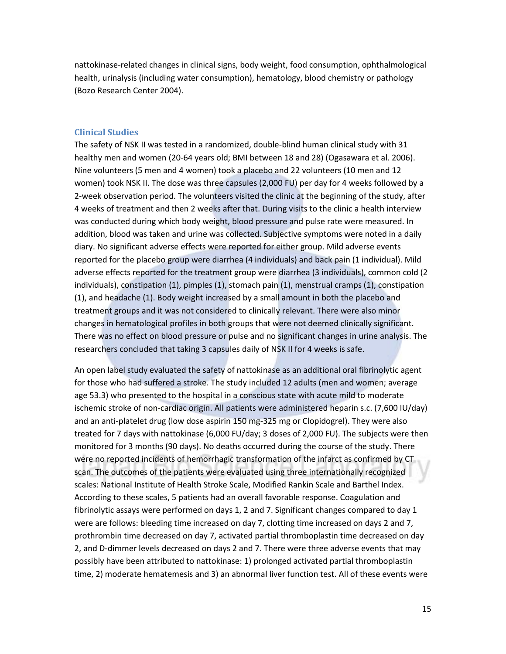nattokinase-related changes in clinical signs, body weight, food consumption, ophthalmological health, urinalysis (including water consumption), hematology, blood chemistry or pathology (Bozo Research Center 2004).

#### **Clinical Studies**

The safety of NSK II was tested in a randomized, double-blind human clinical study with 31 healthy men and women (20-64 years old; BMI between 18 and 28) (Ogasawara et al. 2006). Nine volunteers (5 men and 4 women) took a placebo and 22 volunteers (10 men and 12 women) took NSK II. The dose was three capsules (2,000 FU) per day for 4 weeks followed by a 2-week observation period. The volunteers visited the clinic at the beginning of the study, after 4 weeks of treatment and then 2 weeks after that. During visits to the clinic a health interview was conducted during which body weight, blood pressure and pulse rate were measured. In addition, blood was taken and urine was collected. Subjective symptoms were noted in a daily diary. No significant adverse effects were reported for either group. Mild adverse events reported for the placebo group were diarrhea (4 individuals) and back pain (1 individual). Mild adverse effects reported for the treatment group were diarrhea (3 individuals), common cold (2 individuals), constipation (1), pimples (1), stomach pain (1), menstrual cramps (1), constipation (1), and headache (1). Body weight increased by a small amount in both the placebo and treatment groups and it was not considered to clinically relevant. There were also minor changes in hematological profiles in both groups that were not deemed clinically significant. There was no effect on blood pressure or pulse and no significant changes in urine analysis. The researchers concluded that taking 3 capsules daily of NSK II for 4 weeks is safe.

An open label study evaluated the safety of nattokinase as an additional oral fibrinolytic agent for those who had suffered a stroke. The study included 12 adults (men and women; average age 53.3) who presented to the hospital in a conscious state with acute mild to moderate ischemic stroke of non-cardiac origin. All patients were administered heparin s.c. (7,600 IU/day) and an anti-platelet drug (low dose aspirin 150 mg-325 mg or Clopidogrel). They were also treated for 7 days with nattokinase (6,000 FU/day; 3 doses of 2,000 FU). The subjects were then monitored for 3 months (90 days). No deaths occurred during the course of the study. There were no reported incidents of hemorrhagic transformation of the infarct as confirmed by CT scan. The outcomes of the patients were evaluated using three internationally recognized scales: National Institute of Health Stroke Scale, Modified Rankin Scale and Barthel Index. According to these scales, 5 patients had an overall favorable response. Coagulation and fibrinolytic assays were performed on days 1, 2 and 7. Significant changes compared to day 1 were are follows: bleeding time increased on day 7, clotting time increased on days 2 and 7, prothrombin time decreased on day 7, activated partial thromboplastin time decreased on day 2, and D-dimmer levels decreased on days 2 and 7. There were three adverse events that may possibly have been attributed to nattokinase: 1) prolonged activated partial thromboplastin time, 2) moderate hematemesis and 3) an abnormal liver function test. All of these events were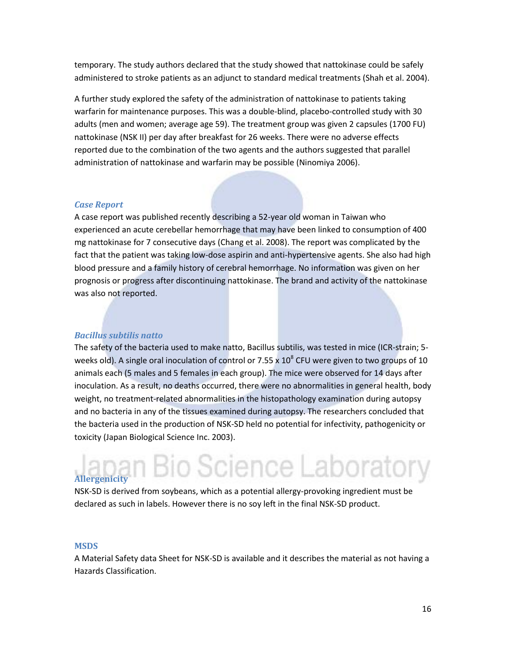temporary. The study authors declared that the study showed that nattokinase could be safely administered to stroke patients as an adjunct to standard medical treatments (Shah et al. 2004).

A further study explored the safety of the administration of nattokinase to patients taking warfarin for maintenance purposes. This was a double-blind, placebo-controlled study with 30 adults (men and women; average age 59). The treatment group was given 2 capsules (1700 FU) nattokinase (NSK II) per day after breakfast for 26 weeks. There were no adverse effects reported due to the combination of the two agents and the authors suggested that parallel administration of nattokinase and warfarin may be possible (Ninomiya 2006).

### *Case Report*

A case report was published recently describing a 52-year old woman in Taiwan who experienced an acute cerebellar hemorrhage that may have been linked to consumption of 400 mg nattokinase for 7 consecutive days (Chang et al. 2008). The report was complicated by the fact that the patient was taking low-dose aspirin and anti-hypertensive agents. She also had high blood pressure and a family history of cerebral hemorrhage. No information was given on her prognosis or progress after discontinuing nattokinase. The brand and activity of the nattokinase was also not reported.

## *Bacillus subtilis natto*

The safety of the bacteria used to make natto, Bacillus subtilis, was tested in mice (ICR-strain; 5 weeks old). A single oral inoculation of control or 7.55 x  $10^8$  CFU were given to two groups of 10 animals each (5 males and 5 females in each group). The mice were observed for 14 days after inoculation. As a result, no deaths occurred, there were no abnormalities in general health, body weight, no treatment-related abnormalities in the histopathology examination during autopsy and no bacteria in any of the tissues examined during autopsy. The researchers concluded that the bacteria used in the production of NSK-SD held no potential for infectivity, pathogenicity or toxicity (Japan Biological Science Inc. 2003).

## o Science Laboratory **Allergenicity**

NSK-SD is derived from soybeans, which as a potential allergy-provoking ingredient must be declared as such in labels. However there is no soy left in the final NSK-SD product.

#### **MSDS**

A Material Safety data Sheet for NSK-SD is available and it describes the material as not having a Hazards Classification.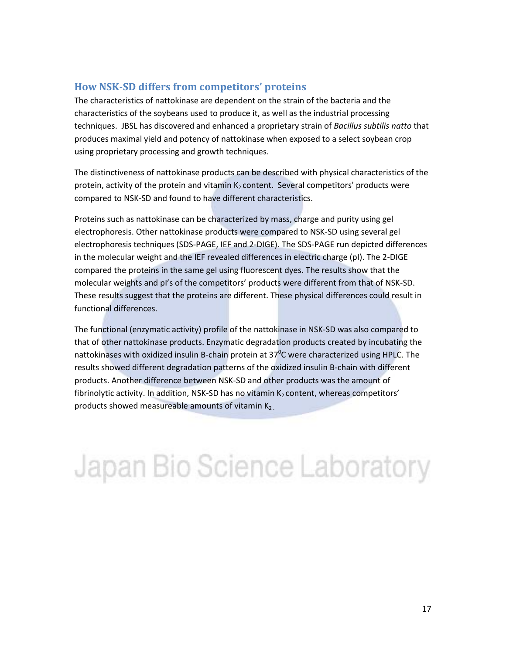## **How NSK-SD differs from competitors' proteins**

The characteristics of nattokinase are dependent on the strain of the bacteria and the characteristics of the soybeans used to produce it, as well as the industrial processing techniques. JBSL has discovered and enhanced a proprietary strain of *Bacillus subtilis natto* that produces maximal yield and potency of nattokinase when exposed to a select soybean crop using proprietary processing and growth techniques.

The distinctiveness of nattokinase products can be described with physical characteristics of the protein, activity of the protein and vitamin  $K_2$  content. Several competitors' products were compared to NSK-SD and found to have different characteristics.

Proteins such as nattokinase can be characterized by mass, charge and purity using gel electrophoresis. Other nattokinase products were compared to NSK-SD using several gel electrophoresis techniques (SDS-PAGE, IEF and 2-DIGE). The SDS-PAGE run depicted differences in the molecular weight and the IEF revealed differences in electric charge (pI). The 2-DIGE compared the proteins in the same gel using fluorescent dyes. The results show that the molecular weights and pI's of the competitors' products were different from that of NSK-SD. These results suggest that the proteins are different. These physical differences could result in functional differences.

The functional (enzymatic activity) profile of the nattokinase in NSK-SD was also compared to that of other nattokinase products. Enzymatic degradation products created by incubating the nattokinases with oxidized insulin B-chain protein at 37<sup>o</sup>C were characterized using HPLC. The results showed different degradation patterns of the oxidized insulin B-chain with different products. Another difference between NSK-SD and other products was the amount of fibrinolytic activity. In addition, NSK-SD has no vitamin  $K_2$  content, whereas competitors' products showed measureable amounts of vitamin  $K_2$ 

Japan Bio Science Laboratory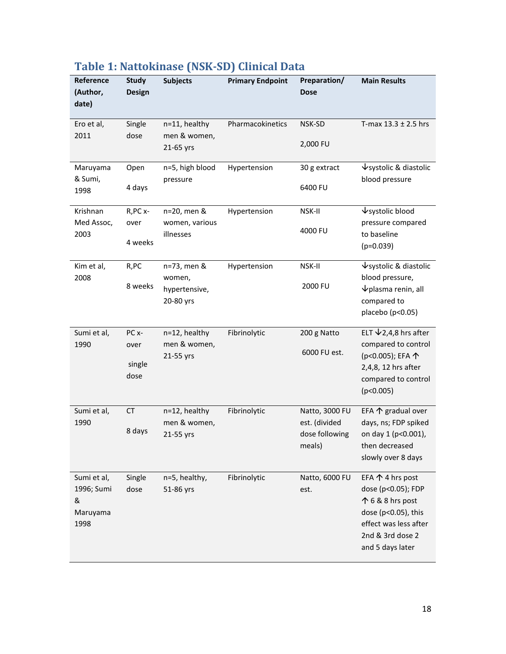| Reference<br>(Author,<br>date)                     | <b>Study</b><br><b>Design</b>               | <b>Subjects</b>                                     | <b>Primary Endpoint</b> | Preparation/<br><b>Dose</b>                                 | <b>Main Results</b>                                                                                                                                         |
|----------------------------------------------------|---------------------------------------------|-----------------------------------------------------|-------------------------|-------------------------------------------------------------|-------------------------------------------------------------------------------------------------------------------------------------------------------------|
| Ero et al,<br>2011                                 | Single<br>dose                              | n=11, healthy<br>men & women,<br>21-65 yrs          | Pharmacokinetics        | NSK-SD<br>2,000 FU                                          | T-max $13.3 \pm 2.5$ hrs                                                                                                                                    |
| Maruyama<br>& Sumi,<br>1998                        | Open<br>4 days                              | n=5, high blood<br>pressure                         | Hypertension            | 30 g extract<br>6400 FU                                     | $\sqrt{\ }$ systolic & diastolic<br>blood pressure                                                                                                          |
| Krishnan<br>Med Assoc,<br>2003                     | R, PC x-<br>over<br>4 weeks                 | n=20, men &<br>women, various<br>illnesses          | Hypertension            | NSK-II<br>4000 FU                                           | ↓systolic blood<br>pressure compared<br>to baseline<br>$(p=0.039)$                                                                                          |
| Kim et al,<br>2008                                 | R,PC<br>8 weeks                             | n=73, men &<br>women,<br>hypertensive,<br>20-80 yrs | Hypertension            | NSK-II<br>2000 FU                                           | $\sqrt{\ }$ systolic & diastolic<br>blood pressure,<br>$\nu$ plasma renin, all<br>compared to<br>placebo (p<0.05)                                           |
| Sumi et al,<br>1990                                | PC <sub>x</sub> -<br>over<br>single<br>dose | n=12, healthy<br>men & women,<br>21-55 yrs          | Fibrinolytic            | 200 g Natto<br>6000 FU est.                                 | ELT $\bigvee$ 2,4,8 hrs after<br>compared to control<br>(p<0.005); EFA 个<br>2,4,8, 12 hrs after<br>compared to control<br>(p<0.005)                         |
| Sumi et al,<br>1990                                | CT<br>8 days                                | n=12, healthy<br>men & women,<br>21-55 yrs          | Fibrinolytic            | Natto, 3000 FU<br>est. (divided<br>dose following<br>meals) | EFA $\uparrow$ gradual over<br>days, ns; FDP spiked<br>on day 1 (p<0.001),<br>then decreased<br>slowly over 8 days                                          |
| Sumi et al,<br>1996; Sumi<br>&<br>Maruyama<br>1998 | Single<br>dose                              | n=5, healthy,<br>51-86 yrs                          | Fibrinolytic            | Natto, 6000 FU<br>est.                                      | EFA $\uparrow$ 4 hrs post<br>dose (p<0.05); FDP<br>个 6 & 8 hrs post<br>dose (p<0.05), this<br>effect was less after<br>2nd & 3rd dose 2<br>and 5 days later |

## **Table 1: Nattokinase (NSK-SD) Clinical Data**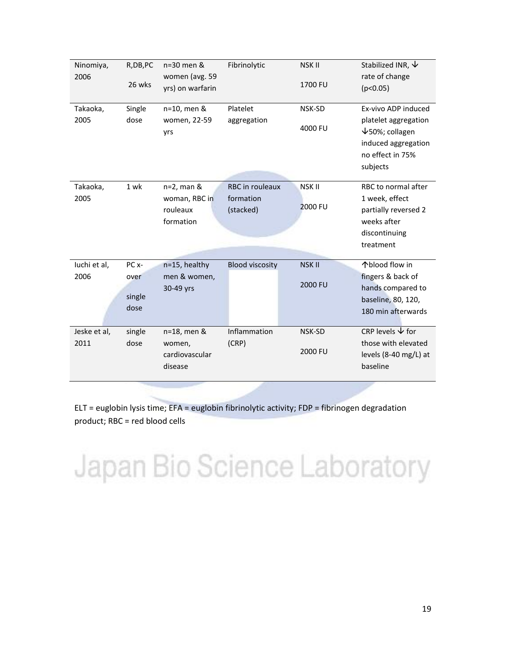| Ninomiya,    | R, DB, PC              | n=30 men &                             | Fibrinolytic           | <b>NSKII</b>   | Stabilized INR, $\psi$                                                                                  |
|--------------|------------------------|----------------------------------------|------------------------|----------------|---------------------------------------------------------------------------------------------------------|
| 2006         | 26 wks                 | women (avg. 59<br>yrs) on warfarin     |                        | 1700 FU        | rate of change<br>(p<0.05)                                                                              |
| Takaoka,     | Single                 | n=10, men &                            | Platelet               | NSK-SD         | Ex-vivo ADP induced                                                                                     |
| 2005         | dose                   | women, 22-59<br>yrs                    | aggregation            | 4000 FU        | platelet aggregation<br>$\sqrt{50\%}$ ; collagen<br>induced aggregation<br>no effect in 75%<br>subjects |
| Takaoka,     | 1 wk                   | $n=2$ , man &                          | <b>RBC</b> in rouleaux | <b>NSK II</b>  | RBC to normal after                                                                                     |
| 2005         |                        | woman, RBC in<br>rouleaux<br>formation | formation<br>(stacked) | <b>2000 FU</b> | 1 week, effect<br>partially reversed 2<br>weeks after<br>discontinuing<br>treatment                     |
| luchi et al, | PC <sub>x</sub> -      | n=15, healthy                          | <b>Blood viscosity</b> | <b>NSK II</b>  | 个blood flow in                                                                                          |
| 2006         | over<br>single<br>dose | men & women,<br>30-49 yrs              |                        | 2000 FU        | fingers & back of<br>hands compared to<br>baseline, 80, 120,<br>180 min afterwards                      |
| Jeske et al, | single                 | n=18, men &                            | Inflammation           | NSK-SD         | CRP levels $\forall$ for                                                                                |
| 2011         | dose                   | women,<br>cardiovascular<br>disease    | (CRP)                  | 2000 FU        | those with elevated<br>levels (8-40 mg/L) at<br>baseline                                                |
|              |                        |                                        |                        |                |                                                                                                         |

ELT = euglobin lysis time; EFA = euglobin fibrinolytic activity; FDP = fibrinogen degradation product; RBC = red blood cells

# Japan Bio Science Laboratory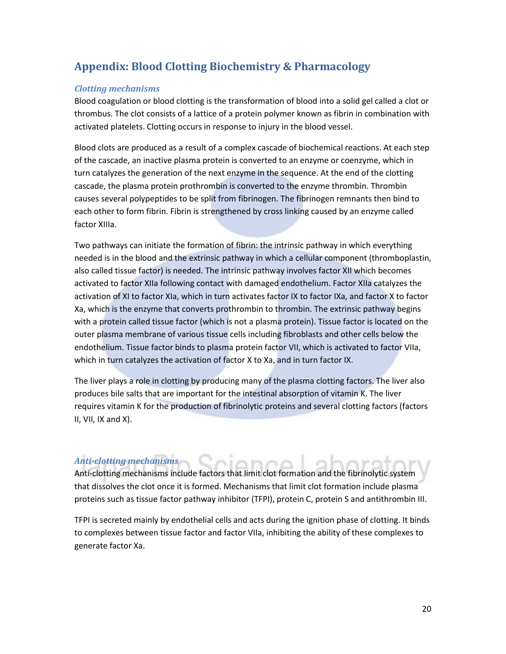## **Appendix: Blood Clotting Biochemistry & Pharmacology**

## *Clotting mechanisms*

Blood coagulation or blood clotting is the transformation of blood into a solid gel called a clot or thrombus. The clot consists of a lattice of a protein polymer known as fibrin in combination with activated platelets. Clotting occurs in response to injury in the blood vessel.

Blood clots are produced as a result of a complex cascade of biochemical reactions. At each step of the cascade, an inactive plasma protein is converted to an enzyme or coenzyme, which in turn catalyzes the generation of the next enzyme in the sequence. At the end of the clotting cascade, the plasma protein prothrombin is converted to the enzyme thrombin. Thrombin causes several polypeptides to be split from fibrinogen. The fibrinogen remnants then bind to each other to form fibrin. Fibrin is strengthened by cross linking caused by an enzyme called factor XIIIa.

Two pathways can initiate the formation of fibrin: the intrinsic pathway in which everything needed is in the blood and the extrinsic pathway in which a cellular component (thromboplastin, also called tissue factor) is needed. The intrinsic pathway involves factor XII which becomes activated to factor XIIa following contact with damaged endothelium. Factor XIIa catalyzes the activation of XI to factor XIa, which in turn activates factor IX to factor IXa, and factor X to factor Xa, which is the enzyme that converts prothrombin to thrombin. The extrinsic pathway begins with a protein called tissue factor (which is not a plasma protein). Tissue factor is located on the outer plasma membrane of various tissue cells including fibroblasts and other cells below the endothelium. Tissue factor binds to plasma protein factor VII, which is activated to factor VIIa, which in turn catalyzes the activation of factor X to Xa, and in turn factor IX.

The liver plays a role in clotting by producing many of the plasma clotting factors. The liver also produces bile salts that are important for the intestinal absorption of vitamin K. The liver requires vitamin K for the production of fibrinolytic proteins and several clotting factors (factors II, VII, IX and X).

## *Anti-clotting mechanisms*

Anti-clotting mechanisms include factors that limit clot formation and the fibrinolytic system that dissolves the clot once it is formed. Mechanisms that limit clot formation include plasma proteins such as tissue factor pathway inhibitor (TFPI), protein C, protein S and antithrombin III.

TFPI is secreted mainly by endothelial cells and acts during the ignition phase of clotting. It binds to complexes between tissue factor and factor VIIa, inhibiting the ability of these complexes to generate factor Xa.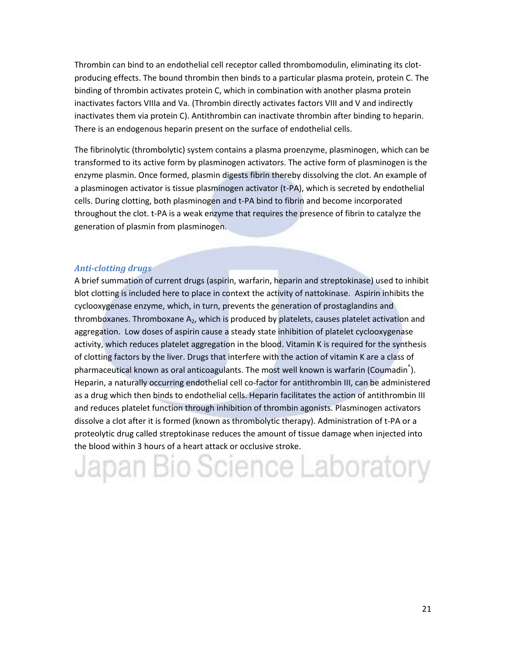Thrombin can bind to an endothelial cell receptor called thrombomodulin, eliminating its clotproducing effects. The bound thrombin then binds to a particular plasma protein, protein C. The binding of thrombin activates protein C, which in combination with another plasma protein inactivates factors VIIIa and Va. (Thrombin directly activates factors VIII and V and indirectly inactivates them via protein C). Antithrombin can inactivate thrombin after binding to heparin. There is an endogenous heparin present on the surface of endothelial cells.

The fibrinolytic (thrombolytic) system contains a plasma proenzyme, plasminogen, which can be transformed to its active form by plasminogen activators. The active form of plasminogen is the enzyme plasmin. Once formed, plasmin digests fibrin thereby dissolving the clot. An example of a plasminogen activator is tissue plasminogen activator (t-PA), which is secreted by endothelial cells. During clotting, both plasminogen and t-PA bind to fibrin and become incorporated throughout the clot. t-PA is a weak enzyme that requires the presence of fibrin to catalyze the generation of plasmin from plasminogen.

## *Anti-clotting drugs*

A brief summation of current drugs (aspirin, warfarin, heparin and streptokinase) used to inhibit blot clotting is included here to place in context the activity of nattokinase. Aspirin inhibits the cyclooxygenase enzyme, which, in turn, prevents the generation of prostaglandins and thromboxanes. Thromboxane  $A_2$ , which is produced by platelets, causes platelet activation and aggregation. Low doses of aspirin cause a steady state inhibition of platelet cyclooxygenase activity, which reduces platelet aggregation in the blood. Vitamin K is required for the synthesis of clotting factors by the liver. Drugs that interfere with the action of vitamin K are a class of pharmaceutical known as oral anticoagulants. The most well known is warfarin (Coumadin<sup>®</sup>). Heparin, a naturally occurring endothelial cell co-factor for antithrombin III, can be administered as a drug which then binds to endothelial cells. Heparin facilitates the action of antithrombin III and reduces platelet function through inhibition of thrombin agonists. Plasminogen activators dissolve a clot after it is formed (known as thrombolytic therapy). Administration of t-PA or a proteolytic drug called streptokinase reduces the amount of tissue damage when injected into the blood within 3 hours of a heart attack or occlusive stroke.

# Japan Bio Science Laboratory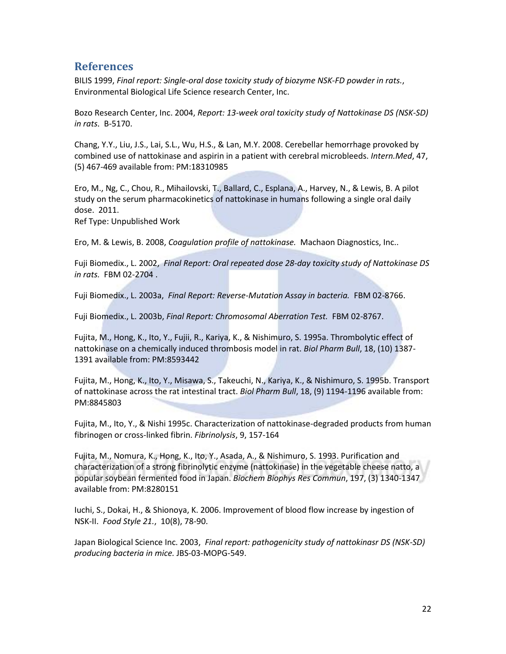## **References**

BILIS 1999, *Final report: Single-oral dose toxicity study of biozyme NSK-FD powder in rats.*, Environmental Biological Life Science research Center, Inc.

Bozo Research Center, Inc. 2004, *Report: 13-week oral toxicity study of Nattokinase DS (NSK-SD) in rats.* B-5170.

Chang, Y.Y., Liu, J.S., Lai, S.L., Wu, H.S., & Lan, M.Y. 2008. Cerebellar hemorrhage provoked by combined use of nattokinase and aspirin in a patient with cerebral microbleeds. *Intern.Med*, 47, (5) 467-469 available from: PM:18310985

Ero, M., Ng, C., Chou, R., Mihailovski, T., Ballard, C., Esplana, A., Harvey, N., & Lewis, B. A pilot study on the serum pharmacokinetics of nattokinase in humans following a single oral daily dose. 2011.

Ref Type: Unpublished Work

Ero, M. & Lewis, B. 2008, *Coagulation profile of nattokinase.* Machaon Diagnostics, Inc..

Fuji Biomedix., L. 2002, *Final Report: Oral repeated dose 28-day toxicity study of Nattokinase DS in rats.* FBM 02-2704 .

Fuji Biomedix., L. 2003a, *Final Report: Reverse-Mutation Assay in bacteria.* FBM 02-8766.

Fuji Biomedix., L. 2003b, *Final Report: Chromosomal Aberration Test.* FBM 02-8767.

Fujita, M., Hong, K., Ito, Y., Fujii, R., Kariya, K., & Nishimuro, S. 1995a. Thrombolytic effect of nattokinase on a chemically induced thrombosis model in rat. *Biol Pharm Bull*, 18, (10) 1387- 1391 available from: PM:8593442

Fujita, M., Hong, K., Ito, Y., Misawa, S., Takeuchi, N., Kariya, K., & Nishimuro, S. 1995b. Transport of nattokinase across the rat intestinal tract. *Biol Pharm Bull*, 18, (9) 1194-1196 available from: PM:8845803

Fujita, M., Ito, Y., & Nishi 1995c. Characterization of nattokinase-degraded products from human fibrinogen or cross-linked fibrin. *Fibrinolysis*, 9, 157-164

Fujita, M., Nomura, K., Hong, K., Ito, Y., Asada, A., & Nishimuro, S. 1993. Purification and characterization of a strong fibrinolytic enzyme (nattokinase) in the vegetable cheese natto, a popular soybean fermented food in Japan. *Biochem Biophys Res Commun*, 197, (3) 1340-1347 available from: PM:8280151

Iuchi, S., Dokai, H., & Shionoya, K. 2006. Improvement of blood flow increase by ingestion of NSK-II. *Food Style 21.*, 10(8), 78-90.

Japan Biological Science Inc. 2003, *Final report: pathogenicity study of nattokinasr DS (NSK-SD) producing bacteria in mice.* JBS-03-MOPG-549.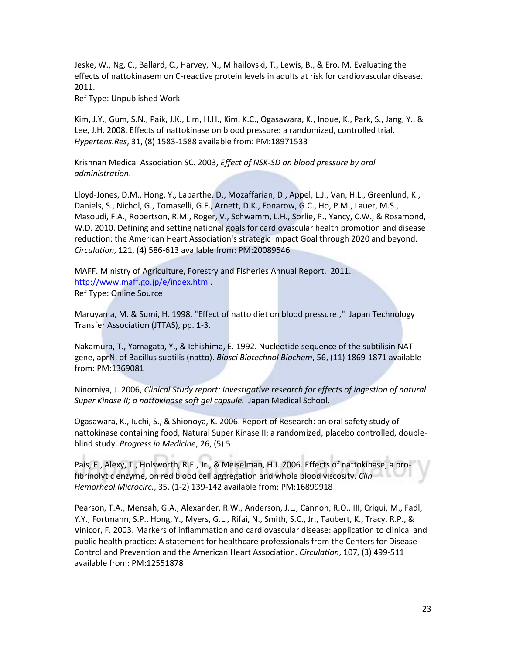Jeske, W., Ng, C., Ballard, C., Harvey, N., Mihailovski, T., Lewis, B., & Ero, M. Evaluating the effects of nattokinasem on C-reactive protein levels in adults at risk for cardiovascular disease. 2011.

Ref Type: Unpublished Work

Kim, J.Y., Gum, S.N., Paik, J.K., Lim, H.H., Kim, K.C., Ogasawara, K., Inoue, K., Park, S., Jang, Y., & Lee, J.H. 2008. Effects of nattokinase on blood pressure: a randomized, controlled trial. *Hypertens.Res*, 31, (8) 1583-1588 available from: PM:18971533

Krishnan Medical Association SC. 2003, *Effect of NSK-SD on blood pressure by oral administration*.

Lloyd-Jones, D.M., Hong, Y., Labarthe, D., Mozaffarian, D., Appel, L.J., Van, H.L., Greenlund, K., Daniels, S., Nichol, G., Tomaselli, G.F., Arnett, D.K., Fonarow, G.C., Ho, P.M., Lauer, M.S., Masoudi, F.A., Robertson, R.M., Roger, V., Schwamm, L.H., Sorlie, P., Yancy, C.W., & Rosamond, W.D. 2010. Defining and setting national goals for cardiovascular health promotion and disease reduction: the American Heart Association's strategic Impact Goal through 2020 and beyond. *Circulation*, 121, (4) 586-613 available from: PM:20089546

MAFF. Ministry of Agriculture, Forestry and Fisheries Annual Report. 2011. [http://www.maff.go.jp/e/index.html.](http://www.maff.go.jp/e/index.html) Ref Type: Online Source

Maruyama, M. & Sumi, H. 1998, "Effect of natto diet on blood pressure.," Japan Technology Transfer Association (JTTAS), pp. 1-3.

Nakamura, T., Yamagata, Y., & Ichishima, E. 1992. Nucleotide sequence of the subtilisin NAT gene, aprN, of Bacillus subtilis (natto). *Biosci Biotechnol Biochem*, 56, (11) 1869-1871 available from: PM:1369081

Ninomiya, J. 2006, *Clinical Study report: Investigative research for effects of ingestion of natural Super Kinase II; a nattokinase soft gel capsule.* Japan Medical School.

Ogasawara, K., Iuchi, S., & Shionoya, K. 2006. Report of Research: an oral safety study of nattokinase containing food, Natural Super Kinase II: a randomized, placebo controlled, doubleblind study. *Progress in Medicine*, 26, (5) 5

Pais, E., Alexy, T., Holsworth, R.E., Jr., & Meiselman, H.J. 2006. Effects of nattokinase, a profibrinolytic enzyme, on red blood cell aggregation and whole blood viscosity. *Clin Hemorheol.Microcirc.*, 35, (1-2) 139-142 available from: PM:16899918

Pearson, T.A., Mensah, G.A., Alexander, R.W., Anderson, J.L., Cannon, R.O., III, Criqui, M., Fadl, Y.Y., Fortmann, S.P., Hong, Y., Myers, G.L., Rifai, N., Smith, S.C., Jr., Taubert, K., Tracy, R.P., & Vinicor, F. 2003. Markers of inflammation and cardiovascular disease: application to clinical and public health practice: A statement for healthcare professionals from the Centers for Disease Control and Prevention and the American Heart Association. *Circulation*, 107, (3) 499-511 available from: PM:12551878